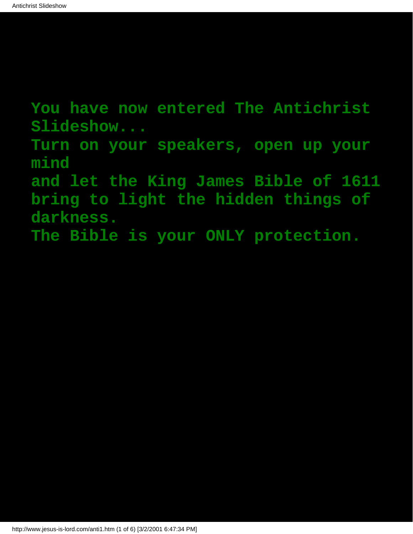**You have now entered The Antichrist Slideshow...**

**Turn on your speakers, open up your mind**

**and let the King James Bible of 1611 bring to light the hidden things of darkness.**

**The Bible is your ONLY protection.**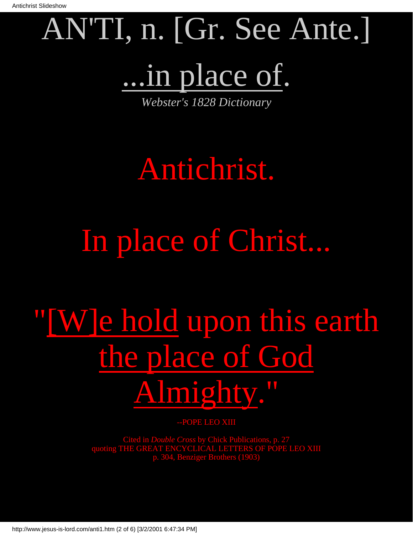# AN'TI, n. [Gr. See Ante.] ...in place of.

*Webster's 1828 Dictionary*

#### Antichrist.

### In place of Christ...

## "[W]e hold upon this earth the place of God Almighty."

--POPE LEO XIII

Cited in *Double Cross* by Chick Publications, p. 27 quoting THE GREAT ENCYCLICAL LETTERS OF POPE LEO XIII p. 304, Benziger Brothers (1903)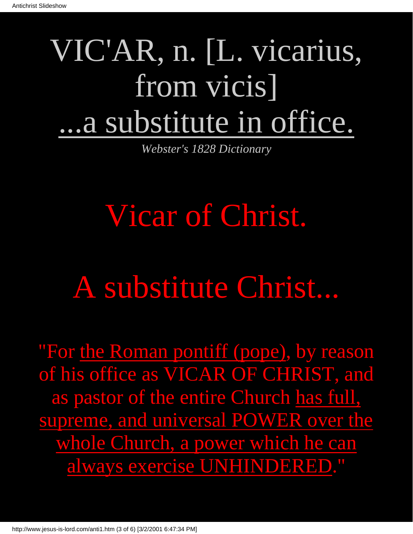### VIC'AR, n. [L. vicarius, from vicis] ...a substitute in office.

*Webster's 1828 Dictionary*

#### Vicar of Christ.

#### A substitute Christ...

"For the Roman pontiff (pope), by reason of his office as VICAR OF CHRIST, and as pastor of the entire Church has full, supreme, and universal POWER over the whole Church, a power which he can always exercise UNHINDERED."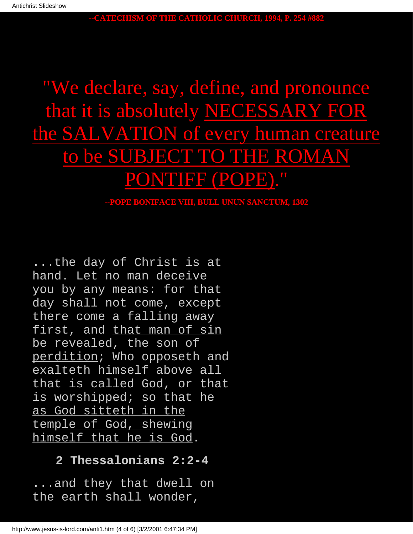**--CATECHISM OF THE CATHOLIC CHURCH, 1994, P. 254 #882**

#### "We declare, say, define, and pronounce that it is absolutely NECESSARY FOR the SALVATION of every human creature to be SUBJECT TO THE ROMAN PONTIFF (POPE)."

#### **--POPE BONIFACE VIII, BULL UNUN SANCTUM, 1302**

...the day of Christ is at hand. Let no man deceive you by any means: for that day shall not come, except there come a falling away first, and that man of sin be revealed, the son of perdition; Who opposeth and exalteth himself above all that is called God, or that is worshipped; so that he as God sitteth in the temple of God, shewing himself that he is God.

#### **2 Thessalonians 2:2-4**

...and they that dwell on the earth shall wonder,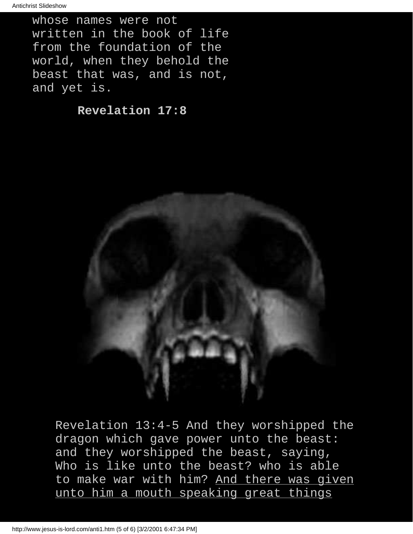whose names were not written in the book of life from the foundation of the world, when they behold the beast that was, and is not, and yet is.

**Revelation 17:8**



Revelation 13:4-5 And they worshipped the dragon which gave power unto the beast: and they worshipped the beast, saying, Who is like unto the beast? who is able to make war with him? And there was given unto him a mouth speaking great things